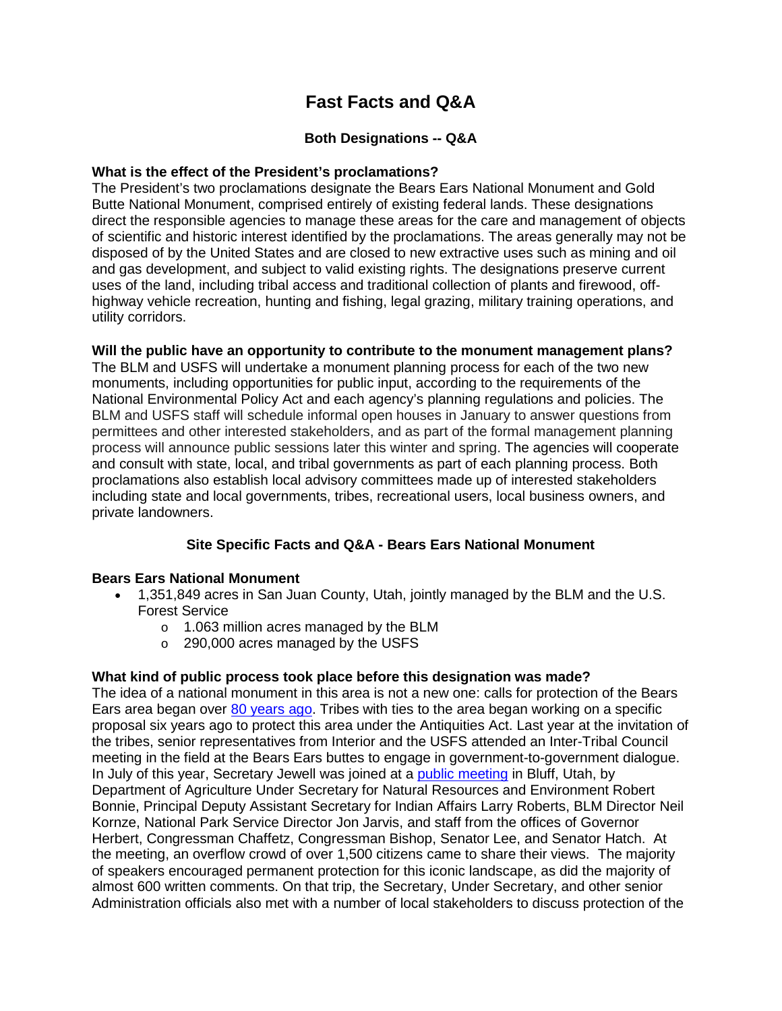# **Fast Facts and Q&A**

# **Both Designations -- Q&A**

## **What is the effect of the President's proclamations?**

The President's two proclamations designate the Bears Ears National Monument and Gold Butte National Monument, comprised entirely of existing federal lands. These designations direct the responsible agencies to manage these areas for the care and management of objects of scientific and historic interest identified by the proclamations. The areas generally may not be disposed of by the United States and are closed to new extractive uses such as mining and oil and gas development, and subject to valid existing rights. The designations preserve current uses of the land, including tribal access and traditional collection of plants and firewood, offhighway vehicle recreation, hunting and fishing, legal grazing, military training operations, and utility corridors.

## **Will the public have an opportunity to contribute to the monument management plans?**

The BLM and USFS will undertake a monument planning process for each of the two new monuments, including opportunities for public input, according to the requirements of the National Environmental Policy Act and each agency's planning regulations and policies. The BLM and USFS staff will schedule informal open houses in January to answer questions from permittees and other interested stakeholders, and as part of the formal management planning process will announce public sessions later this winter and spring. The agencies will cooperate and consult with state, local, and tribal governments as part of each planning process. Both proclamations also establish local advisory committees made up of interested stakeholders including state and local governments, tribes, recreational users, local business owners, and private landowners.

## **Site Specific Facts and Q&A - Bears Ears National Monument**

#### **Bears Ears National Monument**

- 1,351,849 acres in San Juan County, Utah, jointly managed by the BLM and the U.S. Forest Service
	- o 1.063 million acres managed by the BLM
	- o 290,000 acres managed by the USFS

#### **What kind of public process took place before this designation was made?**

The idea of a national monument in this area is not a new one: calls for protection of the Bears Ears area began over [80 years ago.](https://www.blm.gov/programs/national-conservation-lands/national-monuments/utah/bears-ears/1936-proposed-map) Tribes with ties to the area began working on a specific proposal six years ago to protect this area under the Antiquities Act. Last year at the invitation of the tribes, senior representatives from Interior and the USFS attended an Inter-Tribal Council meeting in the field at the Bears Ears buttes to engage in government-to-government dialogue. In July of this year, Secretary Jewell was joined at a [public meeting](https://www.doi.gov/pressreleases/secretary-jewell-under-secretary-bonnie-join-utah-local-leaders-public-meeting-hear) in Bluff, Utah, by Department of Agriculture Under Secretary for Natural Resources and Environment Robert Bonnie, Principal Deputy Assistant Secretary for Indian Affairs Larry Roberts, BLM Director Neil Kornze, National Park Service Director Jon Jarvis, and staff from the offices of Governor Herbert, Congressman Chaffetz, Congressman Bishop, Senator Lee, and Senator Hatch. At the meeting, an overflow crowd of over 1,500 citizens came to share their views. The majority of speakers encouraged permanent protection for this iconic landscape, as did the majority of almost 600 written comments. On that trip, the Secretary, Under Secretary, and other senior Administration officials also met with a number of local stakeholders to discuss protection of the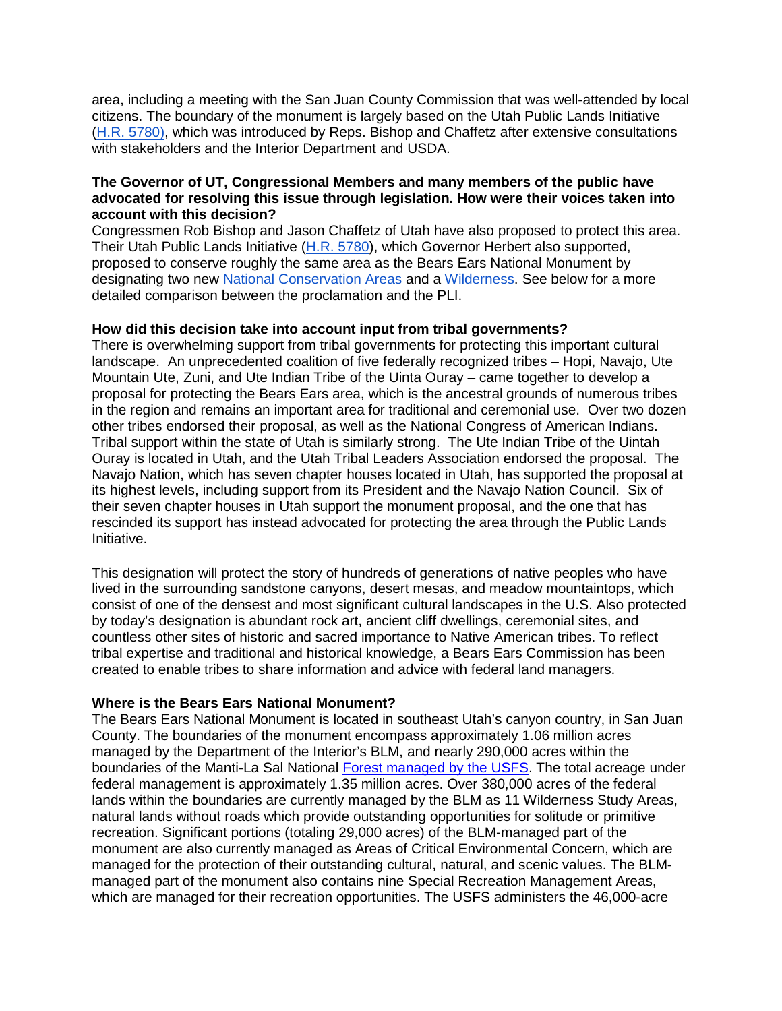area, including a meeting with the San Juan County Commission that was well-attended by local citizens. The boundary of the monument is largely based on the Utah Public Lands Initiative [\(H.R. 5780\)](https://www.congress.gov/114/bills/hr5780/BILLS-114hr5780ih.pdf), which was introduced by Reps. Bishop and Chaffetz after extensive consultations with stakeholders and the Interior Department and USDA.

## **The Governor of UT, Congressional Members and many members of the public have advocated for resolving this issue through legislation. How were their voices taken into account with this decision?**

Congressmen Rob Bishop and Jason Chaffetz of Utah have also proposed to protect this area. Their Utah Public Lands Initiative [\(H.R. 5780\)](https://www.congress.gov/114/bills/hr5780/BILLS-114hr5780ih.pdf), which Governor Herbert also supported, proposed to conserve roughly the same area as the Bears Ears National Monument by designating two new [National Conservation Areas](http://robbishop.house.gov/uploadedfiles/upi_nationalconservationareas_071316.pdf) and a [Wilderness.](http://robbishop.house.gov/uploadedfiles/upi_wilderness_071316.pdf) See below for a more detailed comparison between the proclamation and the PLI.

#### **How did this decision take into account input from tribal governments?**

There is overwhelming support from tribal governments for protecting this important cultural landscape. An unprecedented coalition of five federally recognized tribes – Hopi, Navajo, Ute Mountain Ute, Zuni, and Ute Indian Tribe of the Uinta Ouray – came together to develop a proposal for protecting the Bears Ears area, which is the ancestral grounds of numerous tribes in the region and remains an important area for traditional and ceremonial use. Over two dozen other tribes endorsed their proposal, as well as the National Congress of American Indians. Tribal support within the state of Utah is similarly strong. The Ute Indian Tribe of the Uintah Ouray is located in Utah, and the Utah Tribal Leaders Association endorsed the proposal. The Navajo Nation, which has seven chapter houses located in Utah, has supported the proposal at its highest levels, including support from its President and the Navajo Nation Council. Six of their seven chapter houses in Utah support the monument proposal, and the one that has rescinded its support has instead advocated for protecting the area through the Public Lands Initiative.

This designation will protect the story of hundreds of generations of native peoples who have lived in the surrounding sandstone canyons, desert mesas, and meadow mountaintops, which consist of one of the densest and most significant cultural landscapes in the U.S. Also protected by today's designation is abundant rock art, ancient cliff dwellings, ceremonial sites, and countless other sites of historic and sacred importance to Native American tribes. To reflect tribal expertise and traditional and historical knowledge, a Bears Ears Commission has been created to enable tribes to share information and advice with federal land managers.

#### **Where is the Bears Ears National Monument?**

The Bears Ears National Monument is located in southeast Utah's canyon country, in San Juan County. The boundaries of the monument encompass approximately 1.06 million acres managed by the Department of the Interior's BLM, and nearly 290,000 acres within the boundaries of the Manti-La Sal National [Forest managed by the USFS.](https://www.fs.fed.us/visit/bears-ears-national-monument) The total acreage under federal management is approximately 1.35 million acres. Over 380,000 acres of the federal lands within the boundaries are currently managed by the BLM as 11 Wilderness Study Areas, natural lands without roads which provide outstanding opportunities for solitude or primitive recreation. Significant portions (totaling 29,000 acres) of the BLM-managed part of the monument are also currently managed as Areas of Critical Environmental Concern, which are managed for the protection of their outstanding cultural, natural, and scenic values. The BLMmanaged part of the monument also contains nine Special Recreation Management Areas, which are managed for their recreation opportunities. The USFS administers the 46,000-acre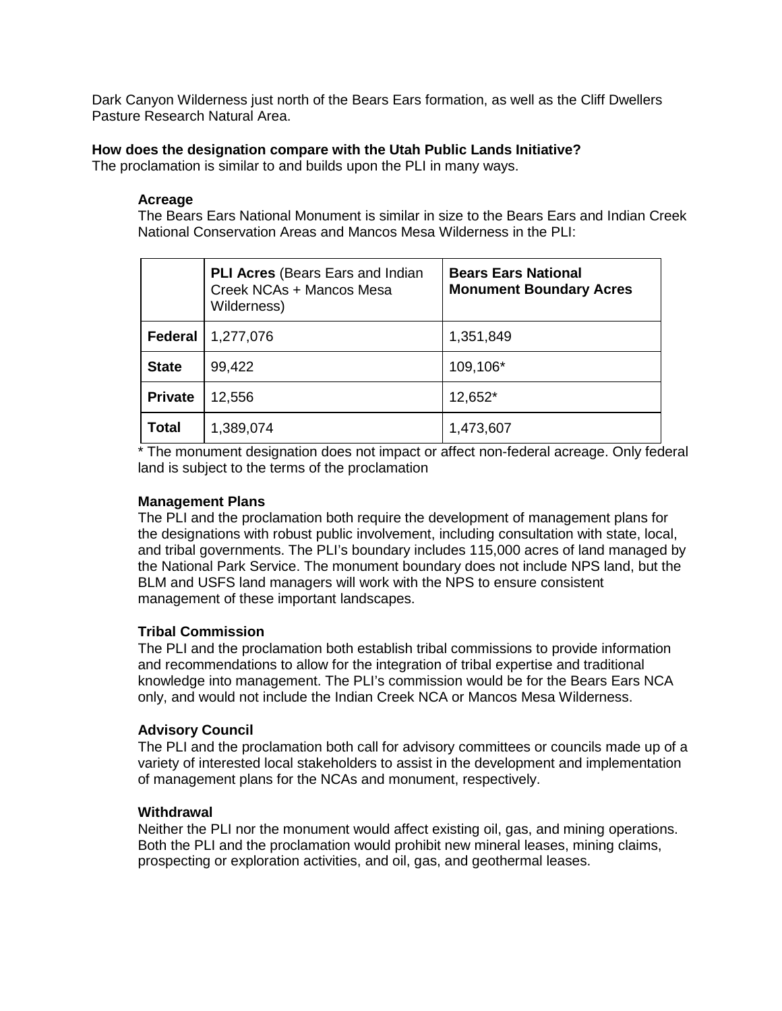Dark Canyon Wilderness just north of the Bears Ears formation, as well as the Cliff Dwellers Pasture Research Natural Area.

## **How does the designation compare with the Utah Public Lands Initiative?**

The proclamation is similar to and builds upon the PLI in many ways.

#### **Acreage**

The Bears Ears National Monument is similar in size to the Bears Ears and Indian Creek National Conservation Areas and Mancos Mesa Wilderness in the PLI:

|                | <b>PLI Acres</b> (Bears Ears and Indian<br>Creek NCAs + Mancos Mesa<br>Wilderness) | <b>Bears Ears National</b><br><b>Monument Boundary Acres</b> |
|----------------|------------------------------------------------------------------------------------|--------------------------------------------------------------|
| <b>Federal</b> | 1,277,076                                                                          | 1,351,849                                                    |
| <b>State</b>   | 99,422                                                                             | 109,106*                                                     |
| <b>Private</b> | 12,556                                                                             | 12,652*                                                      |
| <b>Total</b>   | 1,389,074                                                                          | 1,473,607                                                    |

\* The monument designation does not impact or affect non-federal acreage. Only federal land is subject to the terms of the proclamation

## **Management Plans**

The PLI and the proclamation both require the development of management plans for the designations with robust public involvement, including consultation with state, local, and tribal governments. The PLI's boundary includes 115,000 acres of land managed by the National Park Service. The monument boundary does not include NPS land, but the BLM and USFS land managers will work with the NPS to ensure consistent management of these important landscapes.

## **Tribal Commission**

The PLI and the proclamation both establish tribal commissions to provide information and recommendations to allow for the integration of tribal expertise and traditional knowledge into management. The PLI's commission would be for the Bears Ears NCA only, and would not include the Indian Creek NCA or Mancos Mesa Wilderness.

## **Advisory Council**

The PLI and the proclamation both call for advisory committees or councils made up of a variety of interested local stakeholders to assist in the development and implementation of management plans for the NCAs and monument, respectively.

#### **Withdrawal**

Neither the PLI nor the monument would affect existing oil, gas, and mining operations. Both the PLI and the proclamation would prohibit new mineral leases, mining claims, prospecting or exploration activities, and oil, gas, and geothermal leases.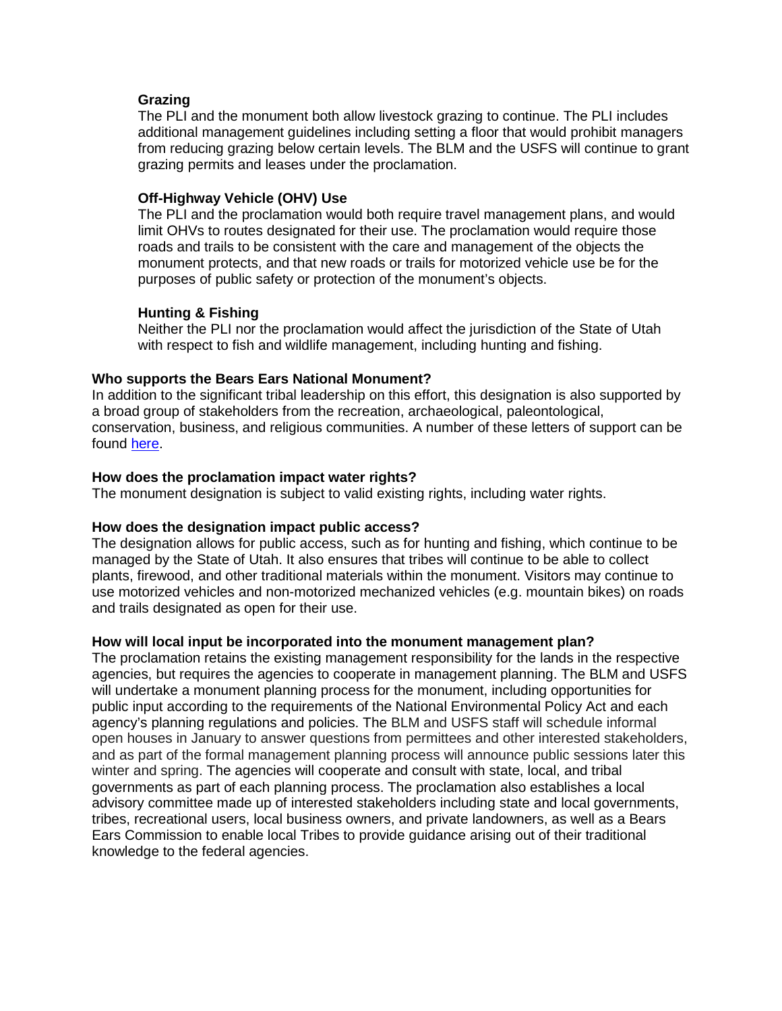## **Grazing**

The PLI and the monument both allow livestock grazing to continue. The PLI includes additional management guidelines including setting a floor that would prohibit managers from reducing grazing below certain levels. The BLM and the USFS will continue to grant grazing permits and leases under the proclamation.

## **Off-Highway Vehicle (OHV) Use**

The PLI and the proclamation would both require travel management plans, and would limit OHVs to routes designated for their use. The proclamation would require those roads and trails to be consistent with the care and management of the objects the monument protects, and that new roads or trails for motorized vehicle use be for the purposes of public safety or protection of the monument's objects.

## **Hunting & Fishing**

Neither the PLI nor the proclamation would affect the jurisdiction of the State of Utah with respect to fish and wildlife management, including hunting and fishing.

## **Who supports the Bears Ears National Monument?**

In addition to the significant tribal leadership on this effort, this designation is also supported by a broad group of stakeholders from the recreation, archaeological, paleontological, conservation, business, and religious communities. A number of these letters of support can be found [here.](https://on.doi.gov/2ii95p8)

## **How does the proclamation impact water rights?**

The monument designation is subject to valid existing rights, including water rights.

#### **How does the designation impact public access?**

The designation allows for public access, such as for hunting and fishing, which continue to be managed by the State of Utah. It also ensures that tribes will continue to be able to collect plants, firewood, and other traditional materials within the monument. Visitors may continue to use motorized vehicles and non-motorized mechanized vehicles (e.g. mountain bikes) on roads and trails designated as open for their use.

#### **How will local input be incorporated into the monument management plan?**

The proclamation retains the existing management responsibility for the lands in the respective agencies, but requires the agencies to cooperate in management planning. The BLM and USFS will undertake a monument planning process for the monument, including opportunities for public input according to the requirements of the National Environmental Policy Act and each agency's planning regulations and policies. The BLM and USFS staff will schedule informal open houses in January to answer questions from permittees and other interested stakeholders, and as part of the formal management planning process will announce public sessions later this winter and spring. The agencies will cooperate and consult with state, local, and tribal governments as part of each planning process. The proclamation also establishes a local advisory committee made up of interested stakeholders including state and local governments, tribes, recreational users, local business owners, and private landowners, as well as a Bears Ears Commission to enable local Tribes to provide guidance arising out of their traditional knowledge to the federal agencies.